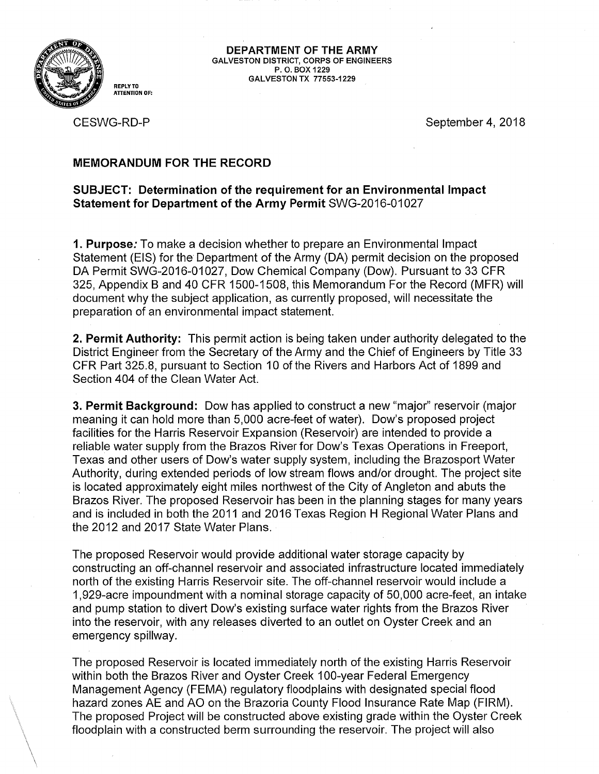

**REPLY TO ATTENTION OF:** 

**DEPARTMENT OF THE ARMY GALVESTON DISTRICT, CORPS OF ENGINEERS P. 0. BOX 1229 GALVESTON TX 77553-1229** 

CESWG-RD-P

September 4, 2018

## **MEMORANDUM FOR THE RECORD**

## **SUBJECT: Determination of the requirement for an Environmental Impact Statement for Department of the Army Permit** SWG-2016-01027

**1. Purpose:** To make a decision whether to prepare an Environmental Impact Statement (EIS) for the Department of the Army (DA) permit decision on the proposed DA Permit SWG-2016-01027, Dow Chemical Company (Dow). Pursuant to 33 CFR 325, Appendix B and 40 CFR 1500-1508, this Memorandum For the Record (MFR) will document why the subject application, as currently proposed, will necessitate the preparation of an environmental impact statement.

**2. Permit Authority:** This permit action is being taken under authority delegated to the District Engineer from the Secretary of the Army and the Chief of Engineers by Title 33 CFR Part 325.8, pursuant to Section 10 of the Rivers and Harbors Act of 1899 and Section 404 of the Clean Water Act.

**3. Permit Background:** Dow has applied to construct a new "major" reservoir (major meaning it can hold more than 5,000 acre-feet of water). Dow's proposed project facilities for the Harris Reservoir Expansion (Reservoir) are intended to provide a reliable water supply from the Brazos River for Dow's Texas Operations in Freeport, Texas and other users of Dow's water supply system, including the Brazosport Water Authority, during extended periods of low stream flows and/or drought. The project site is located approximately eight miles northwest of the City of Angleton and abuts the Brazos River. The proposed Reservoir has been in the planning stages for many years and is included in both the 2011 and 2016 Texas Region H Regional Water Plans and the 2012 and 2017 State Water Plans.

The proposed Reservoir would provide additional water storage capacity by constructing an off-channel reservoir and associated infrastructure located immediately north of the existing Harris Reservoir site. The off-channel reservoir would include a 1,929-acre impoundment with a nominal storage capacity of 50,000 acre-feet, an intake and pump station to divert Dow's existing surface water rights from the Brazos River into the reservoir, with any releases diverted to an outlet on Oyster Creek and an emergency spillway.

The proposed Reservoir is located immediately north of the existing Harris Reservoir within both the Brazos River and Oyster Creek 100-year Federal Emergency Management Agency (FEMA) regulatory floodplains with designated special flood hazard zones AE and AO on the Brazoria County Flood Insurance Rate Map (FIRM). The proposed Project will be constructed above existing grade within the Oyster Creek floodplain with a constructed berm surrounding the reservoir. The project will also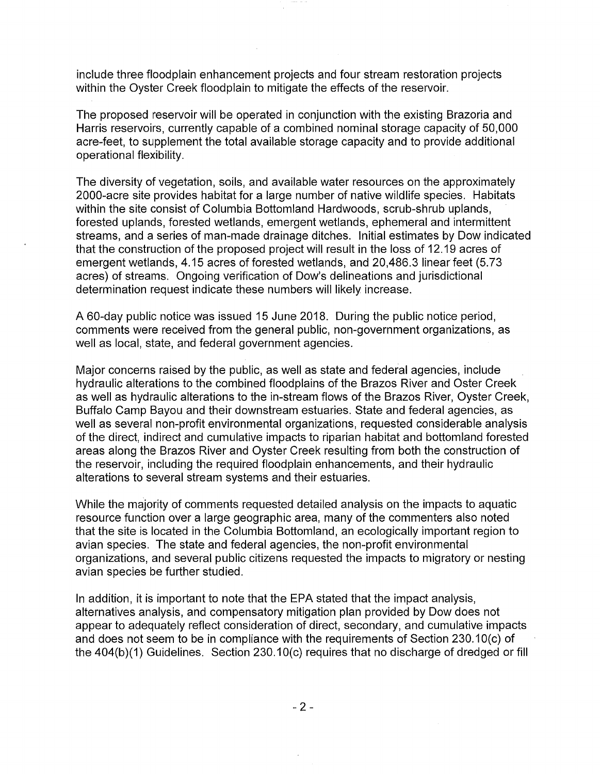include three floodplain enhancement projects and four stream restoration projects within the Oyster Creek floodplain to mitigate the effects of the reservoir.

The proposed reservoir will be operated in conjunction with the existing Brazoria and Harris reservoirs, currently capable of a combined nominal storage capacity of 50,000 acre-feet, to supplement the total available storage capacity and to provide additional operational flexibility.

The diversity of vegetation, soils, and available water resources on the approximately 2000-acre site provides habitat for a large number of native wildlife species. Habitats within the site consist of Columbia Bottomland Hardwoods, scrub-shrub uplands, forested uplands, forested wetlands, emergent wetlands, ephemeral and intermittent streams, and a series of man-made drainage ditches. Initial estimates by Dow indicated that the construction of the proposed project will result in the loss of 12.19 acres of emergent wetlands, 4.15 acres of forested wetlands, and 20,486.3 linear feet (5. 73 acres) of streams. Ongoing verification of Dow's delineations and jurisdictional determination request indicate these numbers will likely increase.

A 60-day public notice was issued 15 June 2018. During the public notice period, comments were received from the general public, non-government organizations, as well as local, state, and federal government agencies.

Major concerns raised by the public, as well as state and federal agencies, include hydraulic alterations to the combined floodplains of the Brazos River and Oster Creek as well as hydraulic alterations to the in-stream flows of the Brazos River, Oyster Creek, Buffalo Camp Bayou and their downstream estuaries. State and federal agencies, as well as several non-profit environmental organizations, requested considerable analysis of the direct, indirect and cumulative impacts to riparian habitat and bottomland forested areas along the Brazos River and Oyster Creek resulting from both the construction of the reservoir, including the required floodplain enhancements, and their hydraulic alterations to several stream systems and their estuaries.

While the majority of comments requested detailed analysis on the impacts to aquatic resource function over a large geographic area, many of the commenters also noted that the site is located in the Columbia Bottomland, an ecologically important region to avian species. The state and federal agencies, the non-profit environmental organizations, and several public citizens requested the impacts to migratory or nesting avian species be further studied.

In addition, it is important to note that the EPA stated that the impact analysis, alternatives analysis, and compensatory mitigation plan provided by Dow does not appear to adequately reflect consideration of direct, secondary, and cumulative impacts and does not seem to be in compliance with the requirements of Section 230.1 0(c) of the 404(b)(1) Guidelines. Section 230.10(c) requires that no discharge of dredged or fill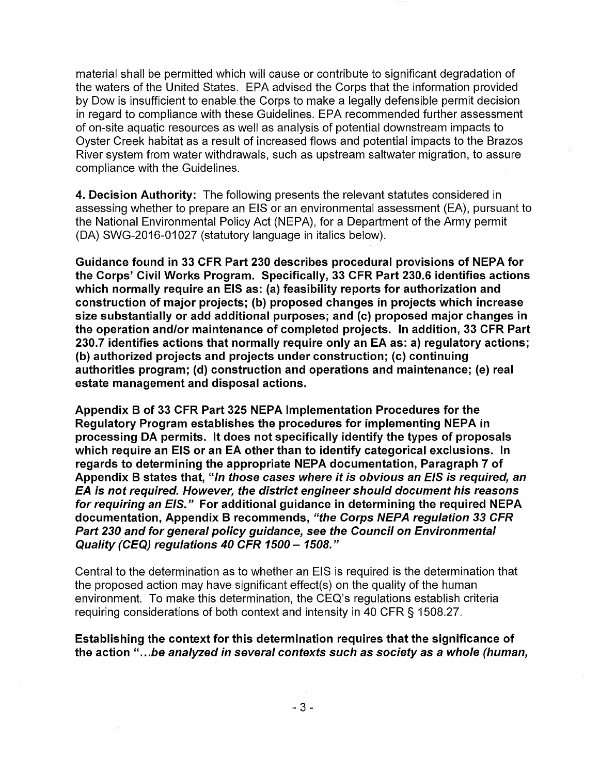material shall be permitted which will cause or contribute to significant degradation of the waters of the United States. EPA advised the Corps that the information provided by Dow is insufficient to enable the Corps to make a legally defensible permit decision in regard to compliance with these Guidelines. EPA recommended further assessment of on-site aquatic resources as well as analysis of potential downstream impacts to Oyster Creek habitat as a result of increased flows and potential impacts to the Brazos River system from water withdrawals, such as upstream saltwater migration, to assure compliance with the Guidelines.

**4. Decision Authority:** The following presents the relevant statutes considered in assessing whether to prepare an EIS or an environmental assessment (EA), pursuant to the National Environmental Policy Act (NEPA), for a Department of the Army permit (DA) SWG-2016-01027 (statutory language in italics below).

**Guidance found in 33 CFR Part 230 describes procedural provisions of NEPA for the Corps' Civil Works Program. Specifically, 33 CFR Part 230.6 identifies actions which normally require an EIS as: (a) feasibility reports for authorization and construction of major projects; (b) proposed changes in projects which increase size substantially or add additional purposes; and (c) proposed major changes in the operation and/or maintenance of completed projects. In addition, 33 CFR Part 230.7 identifies actions that normally require only an EA as: a) regulatory actions; (b) authorized projects and projects under construction; (c) continuing authorities program; (d) construction and operations and maintenance; (e) real estate management and disposal actions.** 

**Appendix B of 33 CFR Part 325 NEPA Implementation Procedures for the Regulatory Program establishes the procedures for implementing NEPA in processing DA permits. It does not specifically identify the types of proposals which require an EIS or an EA other than to identify categorical exclusions. In regards to determining the appropriate NEPA documentation, Paragraph 7 of Appendix B states that, "In those cases where it is obvious an EIS is required, an EA is not required. However, the district engineer should document his reasons for requiring an EIS." For additional guidance in determining the required NEPA documentation, Appendix B recommends, "the Corps NEPA regulation 33 CFR Part 230 and for general policy guidance, see the Council on Environmental Quality (CEQJ regulations 40 CFR 1500** - **1508."** 

Central to the determination as to whether an EIS is required is the determination that the proposed action may have significant effect(s) on the quality of the human environment. To make this determination, the CEQ's regulations establish criteria requiring considerations of both context and intensity in 40 CFR § 1508.27.

**Establishing the context for this determination requires that the significance of the action** " .. **. be analyzed in several contexts such as society as a whole (human,**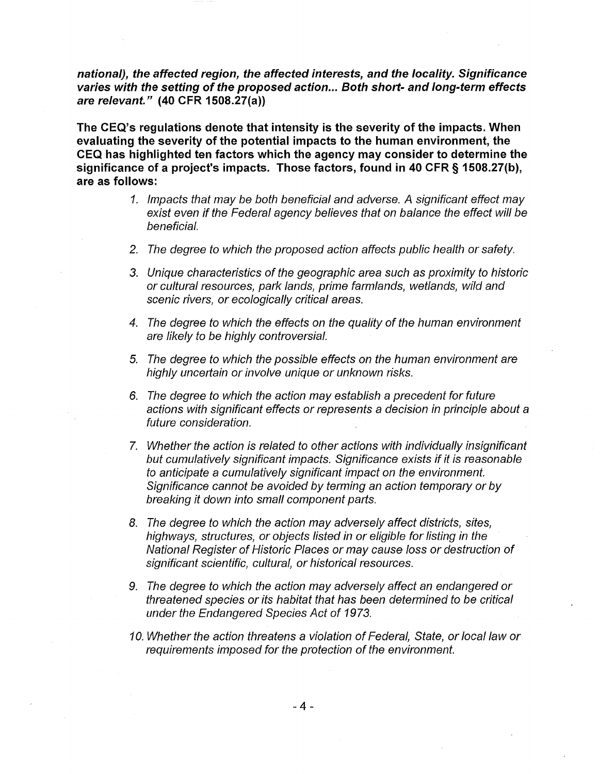**national), the affected region, the affected interests, and the locality. Significance varies with the setting of the proposed action ... Both short- and Jong-term effects are relevant." (40 CFR 1508.27(a))** 

**The CEQ's regulations denote that intensity is the severity of the impacts. When evaluating the severity of the potential impacts to the human environment, the CEQ has highlighted ten factors which the agency may consider to determine the significance of a project's impacts. Those factors, found in 40 CFR § 1508.27(b), are as follows:** 

- 1. Impacts that may be both beneficial and adverse. A significant effect may exist even if the Federal agency believes that on balance the effect will be beneficial.
- 2. The degree to which the proposed action affects public health or safety.
- 3. Unique characteristics of the geographic area such as proximity to historic or cultural resources, park lands, prime farmlands, wetlands, wild and scenic rivers, or ecologically critical areas.
- 4. The degree to which the effects on the quality of the human environment are likely to be highly controversial.
- 5. The degree to which the possible effects on the human environment are highly uncertain or involve unique or unknown risks.
- 6. The degree to which the action may establish a precedent for future actions with significant effects or represents a decision in principle about a future consideration.
- 7. Whether the action is related to other actions with individually insignificant but cumulatively significant impacts. Significance exists if it is reasonable to anticipate a cumulatively significant impact on the environment. Significance cannot be avoided by terming an action temporary or by breaking it down into small component parts.
- 8. The degree to which the action may adversely affect districts, sites, highways, structures, or objects listed in or eligible for listing in the National Register of Historic Places or may cause loss or destruction of significant scientific, cultural, or historical resources.
- 9. The degree to which the action may adversely affect an endangered or threatened species or its habitat that has been determined to be critical under the Endangered Species Act of 1973.
- 10. Whether the action threatens a violation of Federal, State, or local law or requirements imposed for the protection of the environment.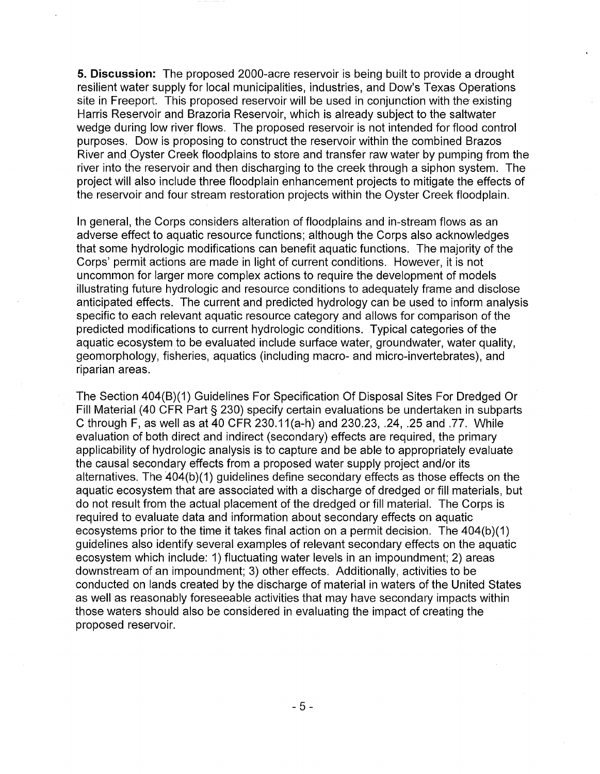**5. Discussion:** The proposed 2000-acre reservoir is being built to provide a drought resilient water supply for local municipalities, industries, and Dow's Texas Operations site in Freeport. This proposed reservoir will be used in conjunction with the existing Harris Reservoir and Brazoria Reservoir, which is already subject to the saltwater wedge during low river flows. The proposed reservoir is not intended for flood control purposes. Dow is proposing to construct the reservoir within the combined Brazos River and Oyster Creek floodplains to store and transfer raw water by pumping from the river into the reservoir and then discharging to the creek through a siphon system. The project will also include three floodplain enhancement projects to mitigate the effects of the reservoir and four stream restoration projects within the Oyster Creek floodplain.

In general, the Corps considers alteration of floodplains and in-stream flows as an adverse effect to aquatic resource functions; although the Corps also acknowledges that some hydrologic modifications can benefit aquatic functions. The majority of the Corps' permit actions are made in light of current conditions. However, it is not uncommon for larger more complex actions to require the development of models illustrating future hydrologic and resource conditions to adequately frame and disclose anticipated effects. The current and predicted hydrology can be used to inform analysis specific to each relevant aquatic resource category and allows for comparison of the predicted modifications to current hydrologic conditions. Typical categories of the aquatic ecosystem to be evaluated include surface water, groundwater, water quality, geomorphology, fisheries, aquatics (including macro- and micro-invertebrates), and riparian areas.

The Section 404(8)(1) Guidelines For Specification Of Disposal Sites For Dredged Or Fill Material (40 CFR Part § 230) specify certain evaluations be undertaken in subparts C through F, as well as at 40 CFR 230.11 (a-h) and 230.23, .24, .25 and .77. While evaluation of both direct and indirect (secondary) effects are required, the primary applicability of hydrologic analysis is to capture and be able to appropriately evaluate the causal secondary effects from a proposed water supply project and/or its alternatives. The 404(b)(1) guidelines define secondary effects as those effects on the aquatic ecosystem that are associated with a discharge of dredged or fill materials, but do not result from the actual placement of the dredged or fill material. The Corps is required to evaluate data and information about secondary effects on aquatic ecosystems prior to the time it takes final action on a permit decision. The 404(b)(1) guidelines also identify several examples of relevant secondary effects on the aquatic ecosystem which include: 1) fluctuating water levels in an impoundment; 2) areas downstream of an impoundment; 3) other effects. Additionally, activities to be conducted on lands created by the discharge of material in waters of the United States as well as reasonably foreseeable activities that may have secondary impacts within those waters should also be considered in evaluating the impact of creating the proposed reservoir.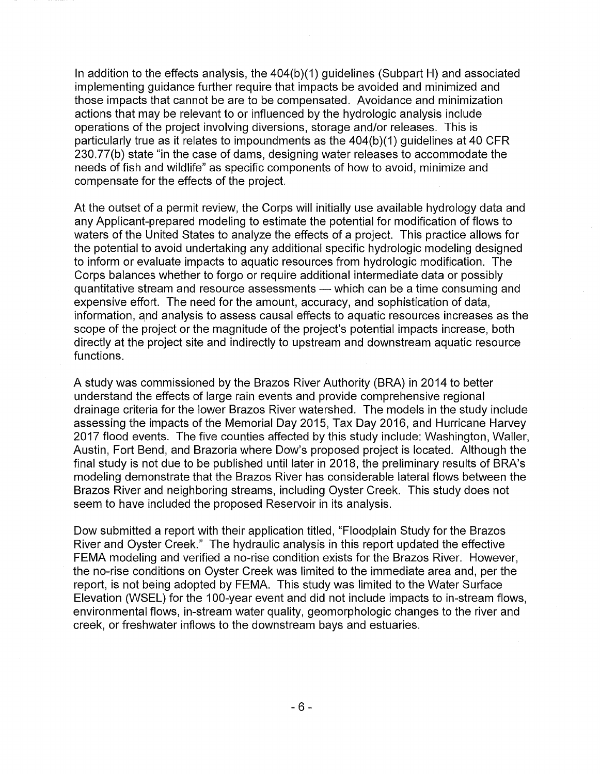In addition to the effects analysis, the 404(b)(1) guidelines (Subpart H) and associated implementing guidance further require that impacts be avoided and minimized and those impacts that cannot be are to be compensated. Avoidance and minimization actions that may be relevant to or influenced by the hydrologic analysis include operations of the project involving diversions, storage and/or releases. This is particularly true as it relates to impoundments as the 404(b)(1) guidelines at 40 CFR 230.77(b) state "in the case of dams, designing water releases to accommodate the needs of fish and wildlife" as specific components of how to avoid, minimize and compensate for the effects of the project.

At the outset of a permit review, the Corps will initially use available hydrology data and any Applicant-prepared modeling to estimate the potential for modification of flows to waters of the United States to analyze the effects of a project. This practice allows for the potential to avoid undertaking any additional specific hydrologic modeling designed to inform or evaluate impacts to aquatic resources from hydrologic modification. The Corps balances whether to forgo or require additional intermediate data or possibly quantitative stream and resource assessments - which can be a time consuming and expensive effort. The need for the amount, accuracy, and sophistication of data, information, and analysis to assess causal effects to aquatic resources increases as the scope of the project or the magnitude of the project's potential impacts increase, both directly at the project site and indirectly to upstream and downstream aquatic resource functions.

A study was commissioned by the Brazos River Authority (BRA) in 2014 to better understand the effects of large rain events and provide comprehensive regional drainage criteria for the lower Brazos River watershed. The models in the study include assessing the impacts of the Memorial Day 2015, Tax Day 2016, and Hurricane Harvey 2017 flood events. The five counties affected by this study include: Washington, Waller, Austin, Fort Bend, and Brazoria where Dow's proposed project is located. Although the final study is not due to be published until later in 2018, the preliminary results of BRA's modeling demonstrate that the Brazos River has considerable lateral flows between the Brazos River and neighboring streams, including Oyster Creek. This study does not seem to have included the proposed Reservoir in its analysis.

Dow submitted a report with their application titled, "Floodplain Study for the Brazos River and Oyster Creek." The hydraulic analysis in this report updated the effective FEMA modeling and verified a no-rise condition exists for the Brazos River. However, the no-rise conditions on Oyster Creek was limited to the immediate area and, per the report, is not being adopted by FEMA. This study was limited to the Water Surface Elevation (WSEL) for the 100-year event and did not include impacts to in-stream flows, environmental flows, in-stream water quality, geomorphologic changes to the river and creek, or freshwater inflows to the downstream bays and estuaries.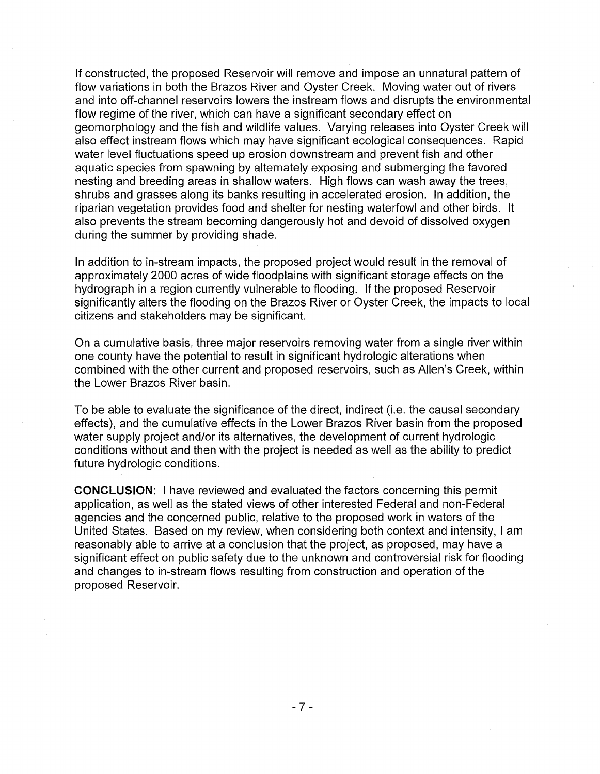If constructed, the proposed Reservoir will remove and impose an unnatural pattern of flow variations in both the Brazos River and Oyster Creek. Moving water out of rivers and into off-channel reservoirs lowers the instream flows and disrupts the environmental flow regime of the river, which can have a significant secondary effect on geomorphology and the fish and wildlife values. Varying releases into Oyster Creek will also effect instream flows which may have significant ecological consequences. Rapid water level fluctuations speed up erosion downstream and prevent fish and other aquatic species from spawning by alternately exposing and submerging the favored nesting and breeding areas in shallow waters. High flows can wash away the trees, shrubs and grasses along its banks resulting in accelerated erosion. In addition, the riparian vegetation provides food and shelter for nesting waterfowl and other birds. It also prevents the stream becoming dangerously hot and devoid of dissolved oxygen during the summer by providing shade.

In addition to in-stream impacts, the proposed project would result in the removal of approximately 2000 acres of wide floodplains with significant storage effects on the hydrograph in a region currently vulnerable to flooding. If the proposed Reservoir significantly alters the flooding on the Brazos River or Oyster Creek, the impacts to local citizens and stakeholders may be significant.

On a cumulative basis, three major reservoirs removing water from a single river within one county have the potential to result in significant hydrologic alterations when combined with the other current and proposed reservoirs, such as Allen's Creek, within the Lower Brazos River basin.

To be able to evaluate the significance of the direct, indirect (i.e. the causal secondary effects), and the cumulative effects in the Lower Brazos River basin from the proposed water supply project and/or its alternatives, the development of current hydrologic conditions without and then with the project is needed as well as the ability to predict future hydrologic conditions.

**CONCLUSION:** I have reviewed and evaluated the factors concerning this permit application, as well as the stated views of other interested Federal and non-Federal agencies and the concerned public, relative to the proposed work in waters of the United States. Based on my review, when considering both context and intensity, I am reasonably able to arrive at a conclusion that the project, as proposed, may have a significant effect on public safety due to the unknown and controversial risk for flooding and changes to in-stream flows resulting from construction and operation of the proposed Reservoir.